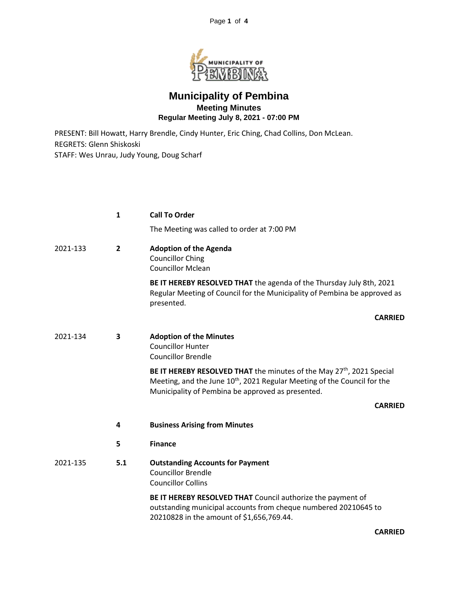

## **Municipality of Pembina Meeting Minutes Regular Meeting July 8, 2021 - 07:00 PM**

PRESENT: Bill Howatt, Harry Brendle, Cindy Hunter, Eric Ching, Chad Collins, Don McLean. REGRETS: Glenn Shiskoski STAFF: Wes Unrau, Judy Young, Doug Scharf

|          | 1              | <b>Call To Order</b>                                                                                                                                                                                                           |
|----------|----------------|--------------------------------------------------------------------------------------------------------------------------------------------------------------------------------------------------------------------------------|
|          |                | The Meeting was called to order at 7:00 PM                                                                                                                                                                                     |
| 2021-133 | $\overline{2}$ | <b>Adoption of the Agenda</b><br><b>Councillor Ching</b><br><b>Councillor Mclean</b>                                                                                                                                           |
|          |                | BE IT HEREBY RESOLVED THAT the agenda of the Thursday July 8th, 2021<br>Regular Meeting of Council for the Municipality of Pembina be approved as<br>presented.                                                                |
|          |                | <b>CARRIED</b>                                                                                                                                                                                                                 |
| 2021-134 | 3              | <b>Adoption of the Minutes</b><br><b>Councillor Hunter</b><br><b>Councillor Brendle</b>                                                                                                                                        |
|          |                | BE IT HEREBY RESOLVED THAT the minutes of the May 27 <sup>th</sup> , 2021 Special<br>Meeting, and the June 10 <sup>th</sup> , 2021 Regular Meeting of the Council for the<br>Municipality of Pembina be approved as presented. |
|          |                | <b>CARRIED</b>                                                                                                                                                                                                                 |
|          | 4              | <b>Business Arising from Minutes</b>                                                                                                                                                                                           |
|          | 5              | <b>Finance</b>                                                                                                                                                                                                                 |
| 2021-135 | 5.1            | <b>Outstanding Accounts for Payment</b><br><b>Councillor Brendle</b><br><b>Councillor Collins</b>                                                                                                                              |
|          |                | BE IT HEREBY RESOLVED THAT Council authorize the payment of<br>outstanding municipal accounts from cheque numbered 20210645 to<br>20210828 in the amount of \$1,656,769.44.                                                    |

**CARRIED**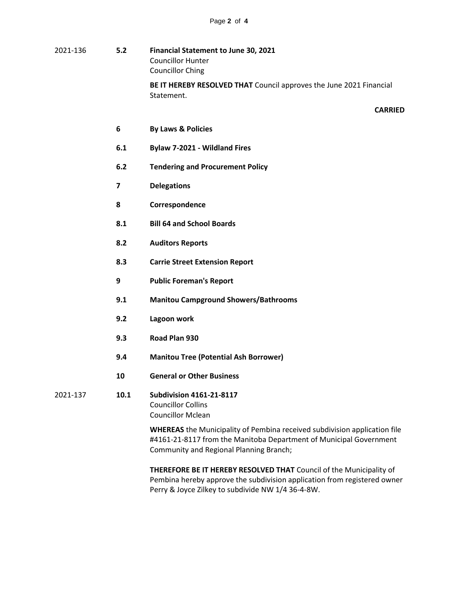| 2021-136 | 5.2                     | Financial Statement to June 30, 2021<br><b>Councillor Hunter</b><br><b>Councillor Ching</b>                                                                                                       |
|----------|-------------------------|---------------------------------------------------------------------------------------------------------------------------------------------------------------------------------------------------|
|          |                         | BE IT HEREBY RESOLVED THAT Council approves the June 2021 Financial<br>Statement.                                                                                                                 |
|          |                         | <b>CARRIED</b>                                                                                                                                                                                    |
|          | 6                       | <b>By Laws &amp; Policies</b>                                                                                                                                                                     |
|          | 6.1                     | Bylaw 7-2021 - Wildland Fires                                                                                                                                                                     |
|          | 6.2                     | <b>Tendering and Procurement Policy</b>                                                                                                                                                           |
|          | $\overline{\mathbf{z}}$ | <b>Delegations</b>                                                                                                                                                                                |
|          | 8                       | Correspondence                                                                                                                                                                                    |
|          | 8.1                     | <b>Bill 64 and School Boards</b>                                                                                                                                                                  |
|          | 8.2                     | <b>Auditors Reports</b>                                                                                                                                                                           |
|          | 8.3                     | <b>Carrie Street Extension Report</b>                                                                                                                                                             |
|          | 9                       | <b>Public Foreman's Report</b>                                                                                                                                                                    |
|          | 9.1                     | <b>Manitou Campground Showers/Bathrooms</b>                                                                                                                                                       |
|          | 9.2                     | Lagoon work                                                                                                                                                                                       |
|          | 9.3                     | Road Plan 930                                                                                                                                                                                     |
|          | 9.4                     | <b>Manitou Tree (Potential Ash Borrower)</b>                                                                                                                                                      |
|          | 10                      | <b>General or Other Business</b>                                                                                                                                                                  |
| 2021-137 | 10.1                    | <b>Subdivision 4161-21-8117</b><br><b>Councillor Collins</b><br><b>Councillor Mclean</b>                                                                                                          |
|          |                         | <b>WHEREAS</b> the Municipality of Pembina received subdivision application file<br>#4161-21-8117 from the Manitoba Department of Municipal Government<br>Community and Regional Planning Branch; |

**THEREFORE BE IT HEREBY RESOLVED THAT** Council of the Municipality of Pembina hereby approve the subdivision application from registered owner Perry & Joyce Zilkey to subdivide NW 1/4 36-4-8W.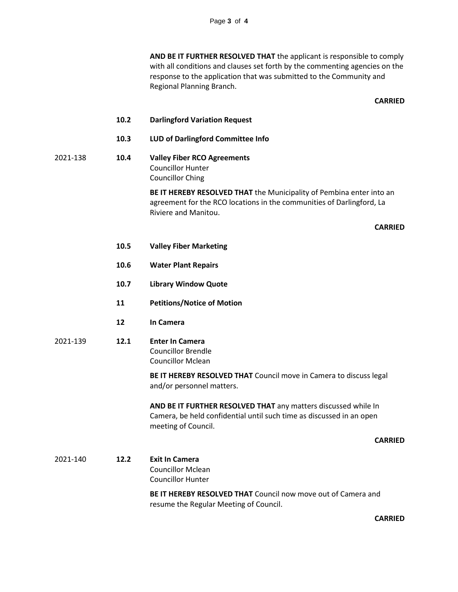**AND BE IT FURTHER RESOLVED THAT** the applicant is responsible to comply with all conditions and clauses set forth by the commenting agencies on the response to the application that was submitted to the Community and Regional Planning Branch.

**CARRIED**

- **10.2 Darlingford Variation Request**
- **10.3 LUD of Darlingford Committee Info**
- 2021-138 **10.4 Valley Fiber RCO Agreements** Councillor Hunter Councillor Ching

**BE IT HEREBY RESOLVED THAT** the Municipality of Pembina enter into an agreement for the RCO locations in the communities of Darlingford, La Riviere and Manitou.

## **CARRIED**

- **10.5 Valley Fiber Marketing**
- **10.6 Water Plant Repairs**
- **10.7 Library Window Quote**
- **11 Petitions/Notice of Motion**
- **12 In Camera**
- 2021-139 **12.1 Enter In Camera** Councillor Brendle Councillor Mclean

**BE IT HEREBY RESOLVED THAT** Council move in Camera to discuss legal and/or personnel matters.

**AND BE IT FURTHER RESOLVED THAT** any matters discussed while In Camera, be held confidential until such time as discussed in an open meeting of Council.

## **CARRIED**

2021-140 **12.2 Exit In Camera** Councillor Mclean Councillor Hunter

**BE IT HEREBY RESOLVED THAT** Council now move out of Camera and resume the Regular Meeting of Council.

**CARRIED**